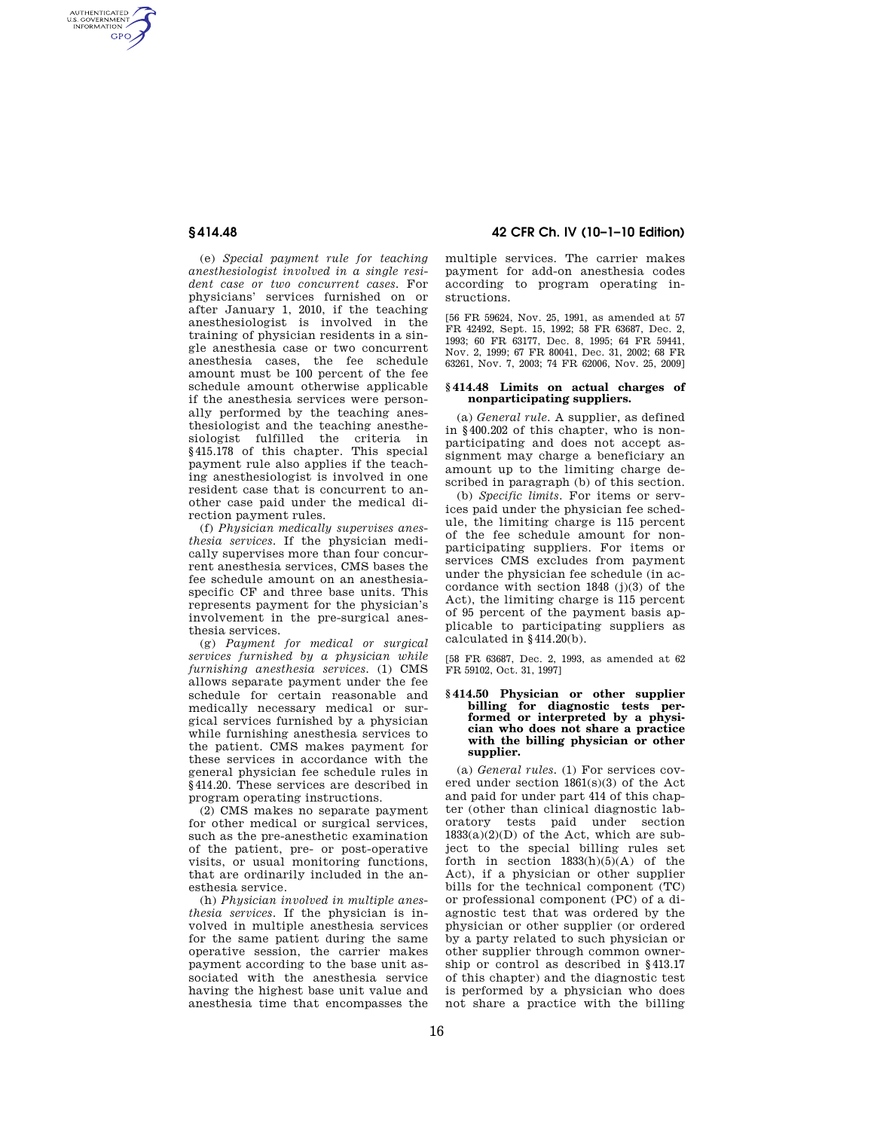AUTHENTICATED<br>U.S. GOVERNMENT<br>INFORMATION **GPO** 

> (e) *Special payment rule for teaching anesthesiologist involved in a single resident case or two concurrent cases.* For physicians' services furnished on or after January 1, 2010, if the teaching anesthesiologist is involved in the training of physician residents in a single anesthesia case or two concurrent anesthesia cases, the fee schedule amount must be 100 percent of the fee schedule amount otherwise applicable if the anesthesia services were personally performed by the teaching anesthesiologist and the teaching anesthesiologist fulfilled the criteria in §415.178 of this chapter. This special payment rule also applies if the teaching anesthesiologist is involved in one resident case that is concurrent to another case paid under the medical direction payment rules.

(f) *Physician medically supervises anesthesia services.* If the physician medically supervises more than four concurrent anesthesia services, CMS bases the fee schedule amount on an anesthesiaspecific CF and three base units. This represents payment for the physician's involvement in the pre-surgical anesthesia services.

(g) *Payment for medical or surgical services furnished by a physician while furnishing anesthesia services.* (1) CMS allows separate payment under the fee schedule for certain reasonable and medically necessary medical or surgical services furnished by a physician while furnishing anesthesia services to the patient. CMS makes payment for these services in accordance with the general physician fee schedule rules in §414.20. These services are described in program operating instructions.

(2) CMS makes no separate payment for other medical or surgical services, such as the pre-anesthetic examination of the patient, pre- or post-operative visits, or usual monitoring functions, that are ordinarily included in the anesthesia service.

(h) *Physician involved in multiple anesthesia services.* If the physician is involved in multiple anesthesia services for the same patient during the same operative session, the carrier makes payment according to the base unit associated with the anesthesia service having the highest base unit value and anesthesia time that encompasses the

**§ 414.48 42 CFR Ch. IV (10–1–10 Edition)** 

multiple services. The carrier makes payment for add-on anesthesia codes according to program operating instructions.

[56 FR 59624, Nov. 25, 1991, as amended at 57 FR 42492, Sept. 15, 1992; 58 FR 63687, Dec. 2, 1993; 60 FR 63177, Dec. 8, 1995; 64 FR 59441, Nov. 2, 1999; 67 FR 80041, Dec. 31, 2002; 68 FR 63261, Nov. 7, 2003; 74 FR 62006, Nov. 25, 2009]

## **§ 414.48 Limits on actual charges of nonparticipating suppliers.**

(a) *General rule.* A supplier, as defined in §400.202 of this chapter, who is nonparticipating and does not accept assignment may charge a beneficiary an amount up to the limiting charge described in paragraph (b) of this section.

(b) *Specific limits.* For items or services paid under the physician fee schedule, the limiting charge is 115 percent of the fee schedule amount for nonparticipating suppliers. For items or services CMS excludes from payment under the physician fee schedule (in accordance with section 1848 (j)(3) of the Act), the limiting charge is 115 percent of 95 percent of the payment basis applicable to participating suppliers as calculated in §414.20(b).

[58 FR 63687, Dec. 2, 1993, as amended at 62 FR 59102, Oct. 31, 1997]

## **§ 414.50 Physician or other supplier**  billing for diagnostic tests per**formed or interpreted by a physician who does not share a practice with the billing physician or other supplier.**

(a) *General rules.* (1) For services covered under section 1861(s)(3) of the Act and paid for under part 414 of this chapter (other than clinical diagnostic laboratory tests paid under section  $1833(a)(2)(D)$  of the Act, which are subject to the special billing rules set forth in section  $1833(h)(5)(A)$  of the Act), if a physician or other supplier bills for the technical component (TC) or professional component (PC) of a diagnostic test that was ordered by the physician or other supplier (or ordered by a party related to such physician or other supplier through common ownership or control as described in §413.17 of this chapter) and the diagnostic test is performed by a physician who does not share a practice with the billing